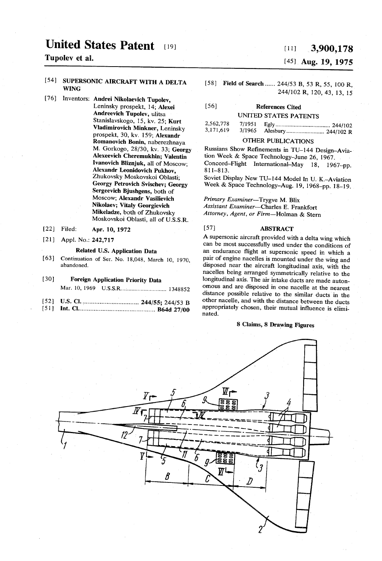# United States Patent [19]  $T$ upolev et al.<br> $T$ upolev et al.

#### 54] SUPERSONIC AIRCRAFT WITH A DELTA WING

- /6] Inventors: Andrei Nikolaevich Tupolev, Leninsky prospekt, 14; Alexei Andreevich Tupolev, ulitsa Stanislavskogo, 15, kv. 25; Kurt<br>Vladimirovich Minkner, Leninsky prospekt, 30, kv. 159; Alexandr Romanovich Bonin, naberezhnaya M. Gorkogo, 28/30, kv. 33; Georgy Alexeevich Cheremukhin; Valentin Ivanovich Bliznjuk, all of Moscow;<br>Alexandr Leonidovich Pukhov. Zhukovsky Moskovskoi Oblasti;<br>Georgy Petrovich Svischev; Georgy Sergeevich Bjushgens, both of Moscow, Alexandr Vasilievich Nikolaev; Vitaly Georgievich Mikeladze, both of Zhukovsky Moskovskoi Oblasti, all of U.S.S.R.
- 22 Filed: Apr. 10, 1972
- 21 ) Appl. No.: 242,717

### Related U.S. Application Data

(63) Continuation of Ser. No. 18,048, March 10, 1970, abandoned.

#### 30 Foreign Application Priority Data Mar. 10, 1969 U.S.S.R.............................. 1348852

- 52 U.S. Cl. ................................. 244/55; 244/53 B
- 51 Int. Cl............................................. B64d 27/00

## (45) Aug. 19, 1975

(58) Field of Search...... 244/53 B, 53 R, 55, 100 R, 244/102 R, 120, 43, 13, 15

# (56) References Cited UNITED STATES PATENTS

| 2,562,778<br>3,171,619 | 3/1965 |  |
|------------------------|--------|--|
|                        |        |  |

OTHER PUBLICATIONS<br>Russians Show Refinements in TU-144 Design-Aviation Week & Space Technology-June 26, 1967. Concord-Flight International-May 18, 1967-pp.<br>811-813.

Soviet Display New TU-144. Model In U.K.-Aviation Week & Space Technology-Aug. 19, 1968–pp. 18-19.

Primary Examiner-Trygve M. Blix Assistant Examiner-Charles E. Frankfort Attorney, Agent, or Firm-Holman & Stern

#### [57] **ABSTRACT**

A supersonic aircraft provided with a delta wing which can be most successfully used under the conditions of an endurance flight at supersonic speed in which a pair of engine nacelles is mounted under the wing and disposed near the aircraft longitudinal axis, with the nacelles being arranged symmetrically relative to the longitudinal axis. The air intake ducts are made auton omous and are disposed in one nacelle at the nearest distance possible relative to the similar ducts in the other nacelle, and with the distance between the ducts appropriately chosen, their mutual influence is elimi nated.

### 8 Claims, 8 Drawing Figures

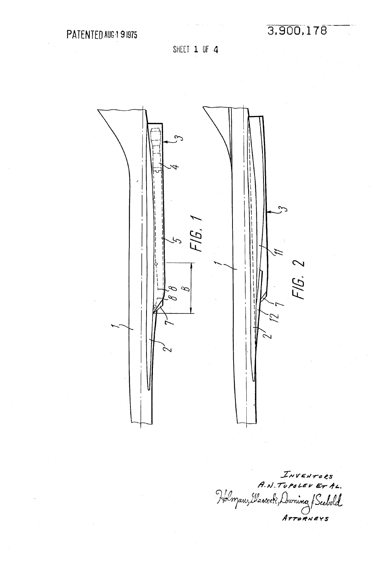SHEET 1 OF 4

3,900,178



INVENTORS<br>A.N.TUPOLEVETAL. Holman, Mascol, Duning & Seebold  $A$ *TTORNEYS*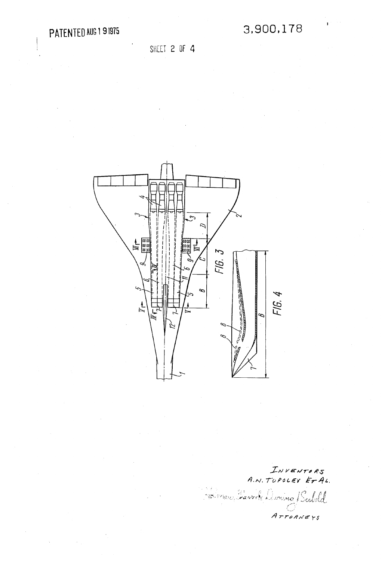SHEET 2 OF 4



INVENTORS<br>A.N. TOPOLEV ET AL. Brinan Hawrite Duning Seebold Arrogners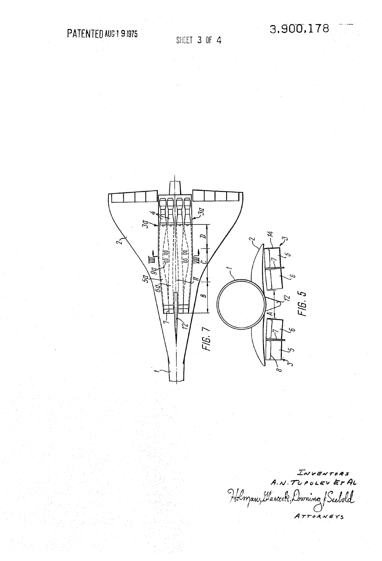3,900,178



INVENTORS<br>A.N. TUPOLEV ET AL Holman, Glascock, Duning ATTORNEYS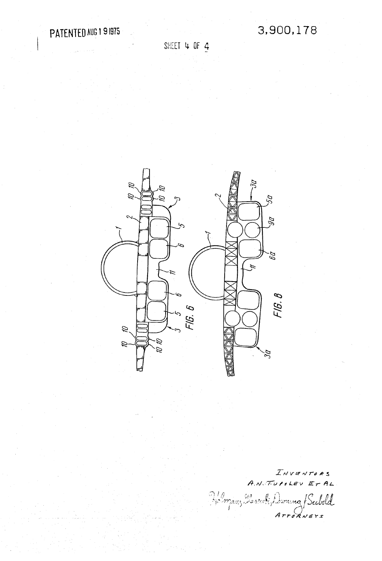3,900,178

SHEET 4 OF 4



INVENTORS<br>A.N. TUPSLEV ET AL Homan Massack, Duming / Seebold  $Artokvers$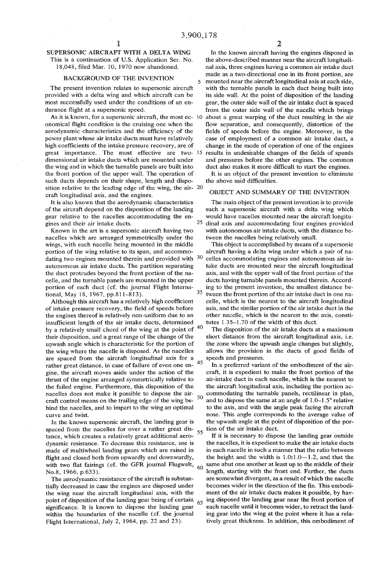5

## 1 SUPERSONIC AIRCRAFT WITH A DELTA WING

This is a continuation of U.S. Application Ser. No. 18,048, filed Mar. 10, 1970 now abandoned.

#### BACKGROUND OF THE INVENTION

The present invention relates to supersonic aircraft provided with a delta wing and which aircraft can be most successfully used under the conditions of an en durance flight at a supersonic speed.

onomical flight condition is the cruising one when the aerodynamic characteristics and the efficiency of the power plant whose air intake ducts must have relatively high coefficients of the intake pressure recovery, are of dimensional air intake ducts which are mounted under the wing and in which the turnable panels are built into the front portion of the upper wall. The operation of such ducts depends on their shape, length and dispo sition relative to the leading edge of the wing, the air craft longitudinal axis, and the engines.

It is also known that the aerodynamic characteristics of the aircraft depend on the disposition of the landing gear relative to the nacelles accommodating the en gines and their air intake ducts.

Known in the art is a supersonic aircraft having two nacelles which are arranged symmetrically under the wings, with each nacelle being mounted in the middle portion of the wing relative to its span, and accommo dating two engines mounted therein and provided with 30 autonomous air intake ducts. The partition separating the duct protrudes beyond the front portion of the nacelle, and the turnable panels are mounted in the upper portion of each duct (cf. the journal Flight International, May 18, 1967, pp.811-813).

Although this aircraft has a relatively high coefficient of intake pressure recovery, the field of speeds before the engines thereof is relatively non-uniform due to an insufficient length of the air intake ducts, determined by a relatively small chord of the wing at the point of their disposition, and a great range of the change of the upwash angle which is characteristic for the portion of the wing where the nacelle is disposed. As the nacelles are spaced from the aircraft longitudinal axis for a rather great distance, in case of failure of even one en gine, the aircraft moves aside under the action of the thrust of the engine arranged symmetrically relative to the failed engine. Furthermore, this disposition of the nacelles does not make it possible to dispose the air craft control means on the trailing edge of the wing be hind the nacelles, and to impart to the wing an optimal curve and twist.

In the known supersonic aircraft, the landing gear is spaced from the nacelles for over a rather great dis tance, which creates a relatively great additional aero dynamic resistance. To decrease this resistance, use is made of multiwheel landing gears which are raised in with two flat fairings (cf. the GFR journal Flugwelt,  $_{60}$ No.8, 1966, p.633).

The aerodynamic resistance of the aircraft is substan tially decreased in case the engines are disposed under the wing near the aircraft longitudinal axis, with the point of disposition of the landing gear being of certain significance. It is known to dispose the landing gear within the boundaries of the nacelle (cf. the journal Flight international, July 2, 1964, pp. 22 and 23).

ITOM the outer side wall of the nacelle which brings<br>As it is known, for a supersonic aircraft, the most ec- 10 about a great warping of the duct resulting in the air in the known aircraft having the engines disposed in the above-described manner near the aircraft longitudi nal axis, three engines having a common air intake duct made as a two-directional one in its front portion, are mounted near the aircraft longitudinal axis at each side, with the turnable panels in each duct being built into its side wall. At the point of disposition of the landing gear, the outer side wall of the air intake duct is spaced flow separation, and consequently, distortion of the fields of speeds before the engine. Moreover, in the case of employment of a common air intake duct, a

great importance. The most effective are two- 15 results in undesirable changes of the fields of speeds change in the mode of operation of one of the engines and pressures before the other engines. The common duct also makes it more difficult to start the engines.

> It is an object of the present invention to eliminate the above said difficulties.

#### OBJECT AND SUMMARY OF THE INVENTION

25 The main object of the present invention is to provide such a supersonic aircraft with a delta wing which would have nacelles mounted near the aircraft longitudinal axis and accommodating four engines provided with autonomous air intake ducts, with the distance be tween the nacelles being relatively small.

35 40 This object is accomplished by means of a supersonic aircraft having a delta wing under which a pair of na celles accommodating engines and autonomous air in take ducts are mounted near the aircraft longitudinal axis, and with the upper wall of the front portion of the ducts having turnable panels mounted therein. Accord ing to the present invention, the smallest distance be tween the front portion of the air intake duct in one na celle, which is the nearest to the aircraft longitudinal axis, and the similar portion of the air intake duct in the other nacelle, which is the nearest to the axis, consti tutes 1.35-1.70 of the width of this duct.

The disposition of the air intake ducts at a maximum short distance from the aircraft longitudinal axis, i.e. the Zone where the upwash angle changes but slightly, allows the provision in the ducts of good fields of speeds and pressures.

45 50 In a preferred variant of the embodiment of the aircraft, it is expedient to make the front portion of the air-intake duct in each nacelle, which is the nearest to the aircraft longitudinal axis, including the portion ac commodating the turnable panels, rectilinear in plan, and to dispose the same at an angle of  $1.0-1.5^{\circ}$  relative to the axis, and with the angle peak facing the aircraft nose. This angle corresponds to the average value of the upwash angle at the point of disposition of the por tion of the air intake duct.

55 65 If it is necessary to dispose the landing gear outside the nacelles, it is expedient to make the air intake ducts in each nacelle in such a manner that the ratio between the height and the width is  $1.0:1.0-1.2$ , and that the same abut one another at least up to the middle of their length, starting with the front end. Farther, the ducts are somewhat divergent, as a result of which the nacelle becomes wider in the direction of the fin. This embodi ment of the air intake ducts makes it possible, by hav ing disposed the landing gear near the front portion of each nacelle until it becomes wider, to retract the land ing gear into the wing at the point where it has a rela tively great thickness. in addition, this embodiment of

2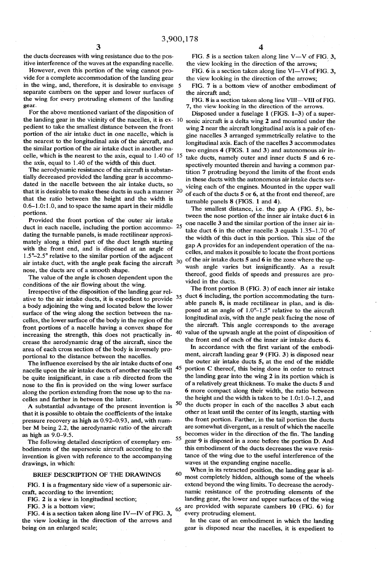the ducts decreases with wing resistance due to the positive interference of the waves at the expanding nacelle.<br>However, even this portion of the wing cannot pro-

vide for a complete accommodation of the landing gear separate cambers on the upper and lower surfaces of the wing for every protruding element of the landing gear. in the wing, and, therefore, it is desirable to envisage 5

For the above mentioned variant of the disposition of the landing gear in the vicinity of the nacelles, it is ex- 10 pedient to take the smallest distance between the front portion of the air intake duct in one nacelle, which is the nearest to the longitudinal axis of the aircraft, and the similar portion of the air intake duct in another na celle, which is the nearest to the axis, equal to 1.40 of 15 the axis, equal to 1.40 of the width of this duct.

The aerodynamic resistance of the aircraft is substan tially decreased provided the landing gear is accommo dated in the nacelle between the air intake ducts, so that it is desirable to make these ducts in such a manner 20 that the ratio between the height and the width is 0.6-1.0:1.0, and to space the same apart in their middle portions.

Provided the front portion of the outer air intake duct in each nacelle, including the portion accommo-  $25$ dating the turnable panels, is made rectilinear approximately along a third part of the duct length starting with the front end, and is disposed at an angle of 1.5-2.5 relative to the similar portion of the adjacent air intake duct, with the angle peak facing the aircraft 30 nose, the ducts are of a smooth shape.

The value of the angle is chosen dependent upon the conditions of the air flowing about the wing.

Irrespective of the disposition of the landing gear relative to the air intake ducts, it is expedient to provide  $35$ a body adjoining the wing and located below the lower surface of the wing along the section between the na celles, the lower surface of the body in the region of the front portions of a nacelle having a convex shape for increasing the strength, this does not practically in crease the aerodynamic drag of the aircraft, since the area of each cross section of the body is inversely pro portional to the distance between the nacelles.

The influence exercised by the air intake ducts of one nacelle upon the air intake ducts of another nacelle will be quite insignificant, in case a rib directed from the nose to the fin is provided on the wing lower surface along the portion extending from the nose up to the na celles and farther in between the latter. 45

A substantial advantage of the present invention is  $50$ that it is possible to obtain the coefficients of the intake pressure recovery as high as 0.92-0.93, and, with num ber M being 2.2, the aerodynamic ratio of the aircraft as high as 9.0-9.5. 55

The following detailed description of exemplary em bodiments of the supersonic aircraft according to the invention is given with reference to the accompanying drawings, in which:

### BRIEF DESCRIPTION OF THE DRAWINGS

60

FIG. 1 is a fragmentary side view of a supersonic air craft, according to the invention;

FIG. 2 is a view in longitudinal section;

FIG. 3 is a bottom view;

FIG. 4 is a section taken along line IV-IV of FIG. 3, the view looking in the direction of the arrows and being on an enlarged scale, 65 FIG. 5 is a section taken along line V-V of FIG. 3, the view looking in the direction of the arrows;

FIG.  $6$  is a section taken along line VI-VI of FIG. 3, the view looking in the direction of the arrows;

FIG. 7 is a bottom view of another embodiment of the aircraft and;

FIG. 8 is a section taken along line VIII-VIII of FIG. 7, the view looking in the direction of the arrows.

Disposed under a fuselage 1 (FIGS. 1-3) of a super sonic aircraft is a delta wing 2 and mounted under the wing 2 near the aircraft longitudinal axis is a pair of en gine nacelles 3 arranged symmetrically relative to the longitudinal axis. Each of the nacelles 3 accommodates two engines 4 (FIGS. 1 and 3) and autonomous air in take ducts, namely outer and inner ducts 5 and 6 respectively mounted therein and having a common partition 7 protruding beyond the limits of the front ends in these ducts with the autonomous air intake ducts ser vicing each of the engines. Mounted in the upper wall of each of the ducts 5 or 6, at the front end thereof, are turnable panels 8 (FIGS. 1 and 4).

The smallest distance, i.e. the gap A (FIG. 5), be tween the nose portion of the inner air intake duct 6 in one nacelle 3 and the similar portion of the inner air in take duct 6 in the other nacelle 3 equals 1.35-1.70 of the width of this duct in this portion. This size of the gap A provides for an independent operation of the na celles, and makes it possible to locate the front portions of the air intake ducts 5 and 6 in the zone where the upwash angle varies but insignificantly. As a result thereof, good fields of speeds and pressures are pro vided in the ducts.

40 value of the upwash angle at the point of disposition of The front portion B (FIG. 3) of each inner air intake duct 6 including, the portion accommodating the turn able panels 8, is made rectilinear in plan, and is dis posed at an angle of  $1.0^{\circ}$ –1.5° relative to the aircraft longitudinal axis, with the angle peak facing the nose of the aircraft. This angle corresponds to the average the front end of each of the inner air intake ducts 6.

In accordance with the first variant of the embodiment, aircraft landing gear 9 (FIG. 3) is disposed near the outer air intake ducts 5, at the end of the middle portion C thereof, this being done in order to retract the landing gear into the wing 2 in its portion which is of a relatively great thickness. To make the ducts 5 and 6 more compact along their width, the ratio between the height and the width is taken to be 1.0:1.0-1.2, and the ducts proper in each of the nacelles 3 abut each other at least until the center of its length, starting with the front portion. Farther, in the tail portion the ducts are somewhat divergent, as a result of which the nacelle becomes wider in the direction of the fin. The landing gear 9 is disposed in a zone before the portion D. And this embodiment of the ducts decreases the wave resis tance of the wing due to the useful interference of the waves at the expanding engine nacelle.

When in its retracted position, the landing gear is al most completely hidden, although some of the wheels<br>extend beyond the wing limits. To decrease the aerodynamic resistance of the protruding elements of the landing gear, the lower and upper surfaces of the wing are provided with separate cambers 10 (FIG. 6) for every protruding element.

In the case of an embodiment in which the landing gear is disposed near the nacelles, it is expedient to